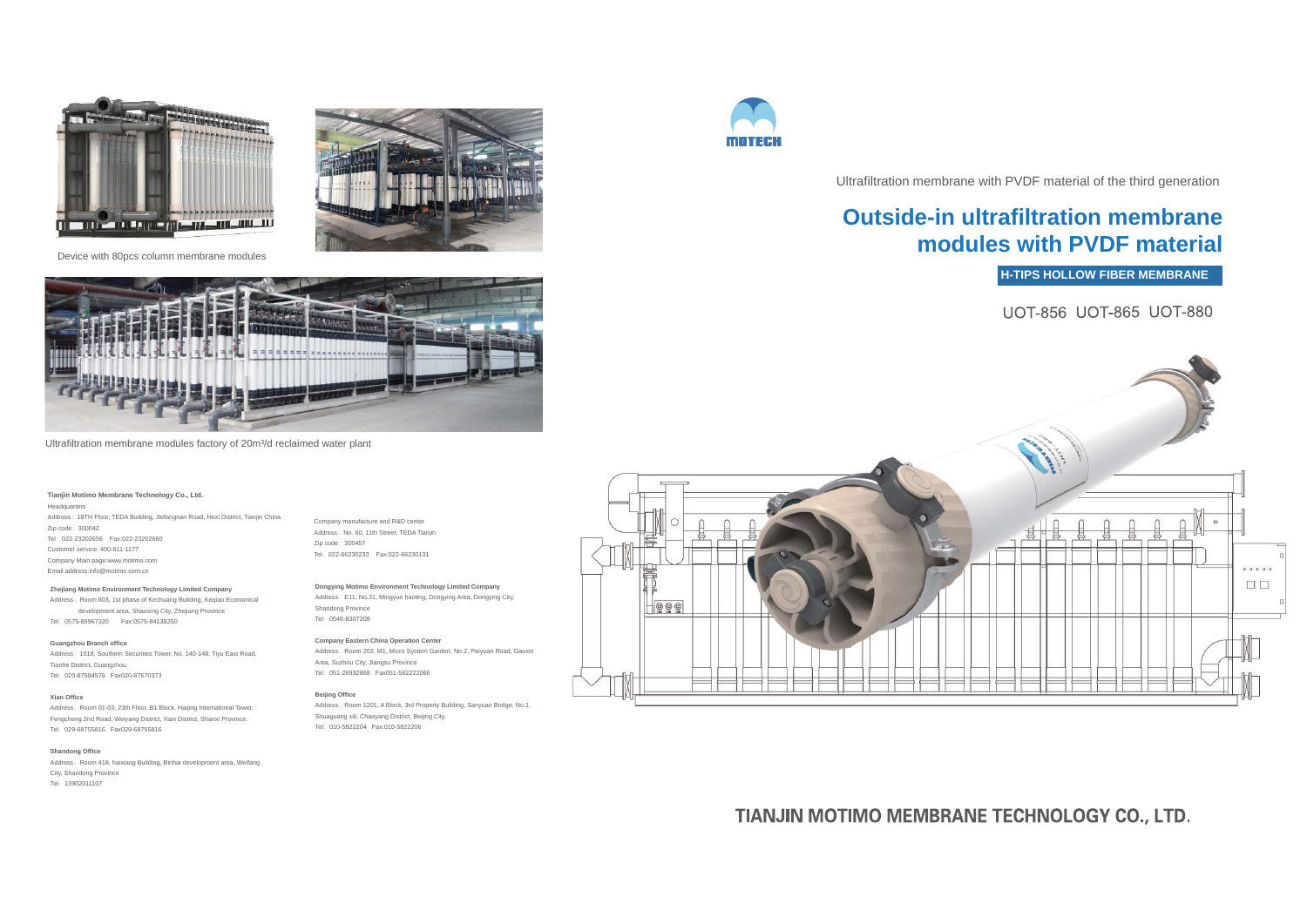



Device with 80pcs column membrane modules



Ultrafiltration membrane modules factory of 20m<sup>3</sup>/d reclaimed water plant

## **Tianjin Motimo Membrane Technology Co., Ltd.**

Headquarters

Address:18TH Floor, TEDA Building, Jiefangnan Road, Hexi District, Tianjin China Zip code:300042 Tel:022-23202656 Fax:022-23202660 Customer service: 400-611-1177 Company Main page:www.motimo.com

**Zhejiang Motimo Environment Technology Limited Company**

Address: Room 803, 1st phase of Kechuang Building, Keqiao Economical development area, Shaoxing City, Zhejiang Province Tel:0575-89967320 Fax:0575-84138260

### **Guangzhou Branch office**

Email address:info@motimo.com.cn

Address: 1018, Southern Securities Tower, No. 140-148, Tiyu East Road, Tianhe District, Guangzhou Tel:020-87584576 Fax020-87570373

#### **Xian Office**

Address: Room 01-03, 23th Floor, B1 Block, Haijing International Tower, Fengcheng 2nd Road, Weiyang District, Xian District, Shanxi Province. Tel:029-68755816 Fax029-68755816

### **Shandong Office**

Address: Room 418, haixiang Building, Binhai development area, Weifang City, Shandong Province

- 
- Tel: 13902011107

Company manufacture and R&D center Address: No. 60, 11th Street, TEDA Tianjin Zip code:300457 Tel:022-66230233 Fax:022-66230131

# **Dongying Motimo Environment Technology Limited Company**

Address: E11, No.31, Mingyue haoting, Dongying Area, Dongying City, Shandong Province Tel:0546-8307208

### **Company Eastern China Operation Center**

Address: Room 202, M1, Micro System Garden, No.2, Peiyuan Road, Gaoxin Area, Suzhou City, Jiangsu Province Tel:051-26932868 Fax051-582222066

### **Beijing Office**

Address: Room 1201, A Block, 3rd Property Building, Sanyuan Bridge, No.1, Shuaguang xili, Chaoyang District, Beijing City. Tel:010-5822204 Fax:010-5822206



Ultrafiltration membrane with PVDF material of the third generation

# **Outside-in ultrafiltration membrane modules with PVDF material**

**H-TIPS HOLLOW FIBER MEMBRANE**

UOT-856 UOT-865 UOT-880



TIANJIN MOTIMO MEMBRANE TECHNOLOGY CO., LTD.